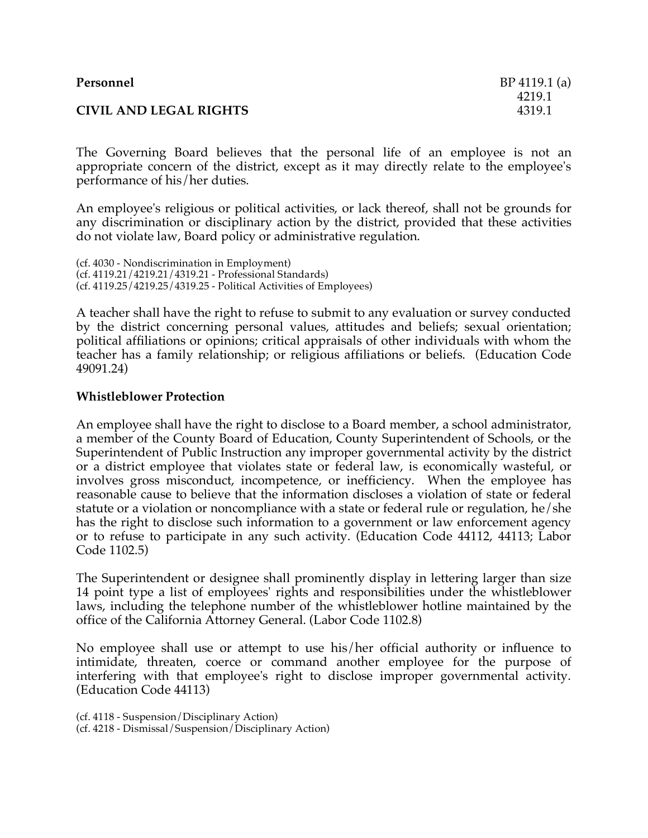| Personnel                     | $BP 4119.1$ (a)  |
|-------------------------------|------------------|
| <b>CIVIL AND LEGAL RIGHTS</b> | 4219.1<br>4319.1 |

The Governing Board believes that the personal life of an employee is not an appropriate concern of the district, except as it may directly relate to the employee's performance of his/her duties.

An employee's religious or political activities, or lack thereof, shall not be grounds for any discrimination or disciplinary action by the district, provided that these activities do not violate law, Board policy or administrative regulation.

(cf. 4030 - Nondiscrimination in Employment) (cf. 4119.21/4219.21/4319.21 - Professional Standards) (cf. 4119.25/4219.25/4319.25 - Political Activities of Employees)

A teacher shall have the right to refuse to submit to any evaluation or survey conducted by the district concerning personal values, attitudes and beliefs; sexual orientation; political affiliations or opinions; critical appraisals of other individuals with whom the teacher has a family relationship; or religious affiliations or beliefs. (Education Code 49091.24)

## **Whistleblower Protection**

An employee shall have the right to disclose to a Board member, a school administrator, a member of the County Board of Education, County Superintendent of Schools, or the Superintendent of Public Instruction any improper governmental activity by the district or a district employee that violates state or federal law, is economically wasteful, or involves gross misconduct, incompetence, or inefficiency. When the employee has reasonable cause to believe that the information discloses a violation of state or federal statute or a violation or noncompliance with a state or federal rule or regulation, he/she has the right to disclose such information to a government or law enforcement agency or to refuse to participate in any such activity. (Education Code 44112, 44113; Labor Code 1102.5)

The Superintendent or designee shall prominently display in lettering larger than size 14 point type a list of employees' rights and responsibilities under the whistleblower laws, including the telephone number of the whistleblower hotline maintained by the office of the California Attorney General. (Labor Code 1102.8)

No employee shall use or attempt to use his/her official authority or influence to intimidate, threaten, coerce or command another employee for the purpose of interfering with that employee's right to disclose improper governmental activity. (Education Code 44113)

(cf. 4118 - Suspension/Disciplinary Action) (cf. 4218 - Dismissal/Suspension/Disciplinary Action)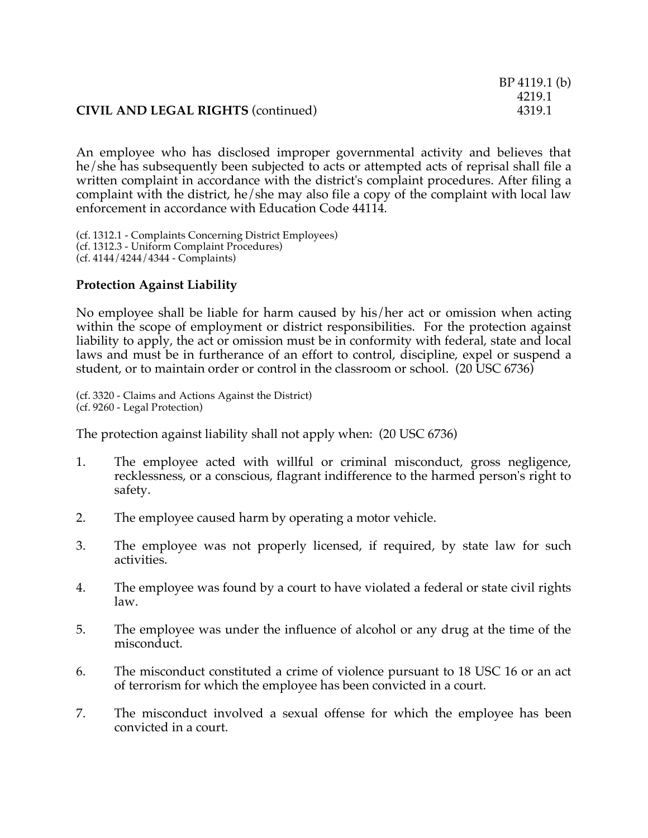## **CIVIL AND LEGAL RIGHTS** (continued) 4319.1

An employee who has disclosed improper governmental activity and believes that he/she has subsequently been subjected to acts or attempted acts of reprisal shall file a written complaint in accordance with the district's complaint procedures. After filing a complaint with the district, he/she may also file a copy of the complaint with local law enforcement in accordance with Education Code 44114.

(cf. 1312.1 - Complaints Concerning District Employees) (cf. 1312.3 - Uniform Complaint Procedures) (cf. 4144/4244/4344 - Complaints)

## **Protection Against Liability**

No employee shall be liable for harm caused by his/her act or omission when acting within the scope of employment or district responsibilities. For the protection against liability to apply, the act or omission must be in conformity with federal, state and local laws and must be in furtherance of an effort to control, discipline, expel or suspend a student, or to maintain order or control in the classroom or school. (20 USC 6736)

(cf. 3320 - Claims and Actions Against the District) (cf. 9260 - Legal Protection)

The protection against liability shall not apply when: (20 USC 6736)

- 1. The employee acted with willful or criminal misconduct, gross negligence, recklessness, or a conscious, flagrant indifference to the harmed person's right to safety.
- 2. The employee caused harm by operating a motor vehicle.
- 3. The employee was not properly licensed, if required, by state law for such activities.
- 4. The employee was found by a court to have violated a federal or state civil rights law.
- 5. The employee was under the influence of alcohol or any drug at the time of the misconduct.
- 6. The misconduct constituted a crime of violence pursuant to 18 USC 16 or an act of terrorism for which the employee has been convicted in a court.
- 7. The misconduct involved a sexual offense for which the employee has been convicted in a court.